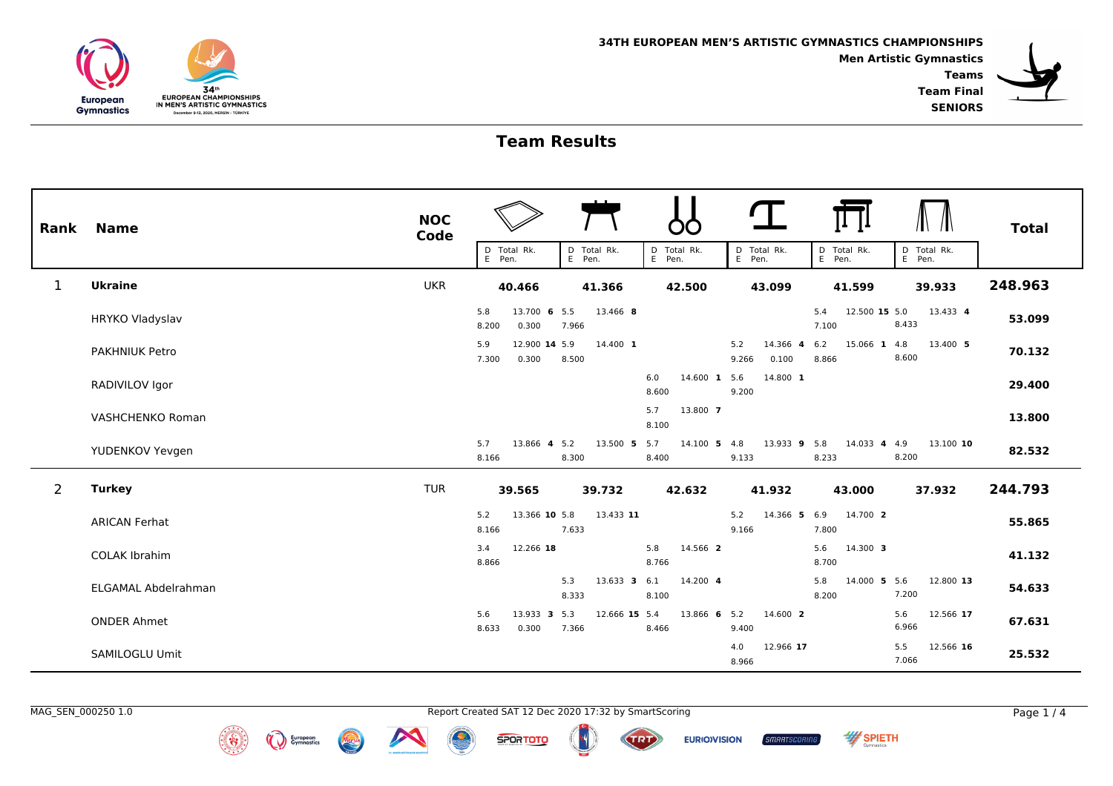



## **Team Results**

| Rank        | <b>Name</b>                | <b>NOC</b><br>Code | E Pen.       | D Total Rk.            | E Pen.       | D Total Rk.   | E Pen.       | D Total Rk.  | E Pen.       | $\mathbf{I}$<br>D Total Rk.     | E Pen.       | D Total Rk.   | E Pen.       | D Total Rk. | <b>Total</b> |
|-------------|----------------------------|--------------------|--------------|------------------------|--------------|---------------|--------------|--------------|--------------|---------------------------------|--------------|---------------|--------------|-------------|--------------|
| $\mathbf 1$ | <b>Ukraine</b>             | <b>UKR</b>         |              | 40.466                 |              | 41.366        |              | 42.500       |              | 43.099                          |              | 41.599        |              | 39.933      | 248.963      |
|             | HRYKO Vladyslav            |                    | 5.8<br>8.200 | 13.700 6 5.5<br>0.300  | 7.966        | 13.466 8      |              |              |              |                                 | 5.4<br>7.100 | 12.500 15 5.0 | 8.433        | 13.433 4    | 53.099       |
|             | <b>PAKHNIUK Petro</b>      |                    | 5.9<br>7.300 | 12.900 14 5.9<br>0.300 | 8.500        | 14.400 1      |              |              | 5.2<br>9.266 | 14.366<br>$\mathbf{a}$<br>0.100 | 6.2<br>8.866 | 15.066 1      | 4.8<br>8.600 | 13.400 5    | 70.132       |
|             | RADIVILOV Igor             |                    |              |                        |              |               | 6.0<br>8.600 | 14.600 1 5.6 | 9.200        | 14.800 1                        |              |               |              |             | 29.400       |
|             | VASHCHENKO Roman           |                    |              |                        |              |               | 5.7<br>8.100 | 13.800 7     |              |                                 |              |               |              |             | 13.800       |
|             | YUDENKOV Yevgen            |                    | 5.7<br>8.166 | 13.866 4 5.2           | 8.300        | 13.500 5 5.7  | 8.400        | 14.100 5 4.8 | 9.133        | 13.933 9 5.8                    | 8.233        | 14.033 4      | 4.9<br>8.200 | 13.100 10   | 82.532       |
| 2           | <b>Turkey</b>              | <b>TUR</b>         |              | 39.565                 |              | 39.732        |              | 42.632       |              | 41.932                          |              | 43.000        |              | 37.932      | 244.793      |
|             | <b>ARICAN Ferhat</b>       |                    | 5.2<br>8.166 | 13.366 10 5.8          | 7.633        | 13.433 11     |              |              | 5.2<br>9.166 | 14.366 5                        | 6.9<br>7.800 | 14.700 2      |              |             | 55.865       |
|             | <b>COLAK Ibrahim</b>       |                    | 3.4<br>8.866 | 12.266 18              |              |               | 5.8<br>8.766 | 14.566 2     |              |                                 | 5.6<br>8.700 | 14.300 3      |              |             | 41.132       |
|             | <b>ELGAMAL Abdelrahman</b> |                    |              |                        | 5.3<br>8.333 | 13.633 3      | 6.1<br>8.100 | 14.200 4     |              |                                 | 5.8<br>8.200 | 14.000 5      | 5.6<br>7.200 | 12.800 13   | 54.633       |
|             | <b>ONDER Ahmet</b>         |                    | 5.6<br>8.633 | 13.933 3 5.3<br>0.300  | 7.366        | 12.666 15 5.4 | 8.466        | 13.866 6 5.2 | 9.400        | 14.600 2                        |              |               | 5.6<br>6.966 | 12.566 17   | 67.631       |
|             | SAMILOGLU Umit             |                    |              |                        |              |               |              |              | 4.0<br>8.966 | 12.966 17                       |              |               | 5.5<br>7.066 | 12.566 16   | 25.532       |

MAG\_SEN\_000250 1.0

(C) European

**EURIOVISION** 

TRT

**SMARTSCORII** 

**SPORTOTO** 

SPIETH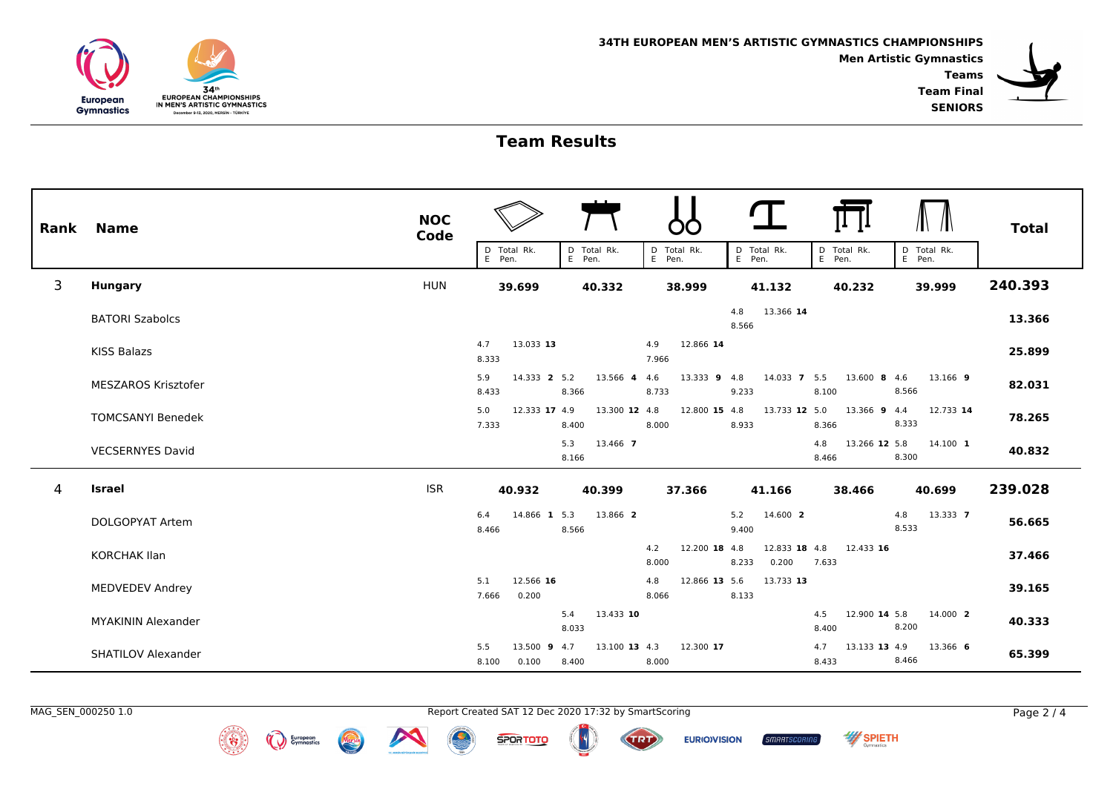

## **Team Results**

|   | <b>Rank Name</b>          | <b>NOC</b><br>Code | D Total Rk.<br>E Pen. | E Pen.                 | D Total Rk.   | D Total Rk.<br>E Pen.         | D Total Rk.<br>E Pen.           | D Total Rk.<br>E Pen.         | D Total Rk.<br>E Pen.     | <b>Total</b> |
|---|---------------------------|--------------------|-----------------------|------------------------|---------------|-------------------------------|---------------------------------|-------------------------------|---------------------------|--------------|
| 3 | <b>Hungary</b>            | <b>HUN</b>         | 39.699                |                        | 40.332        | 38.999                        | 41.132                          | 40.232                        | 39.999                    | 240.393      |
|   | <b>BATORI Szabolcs</b>    |                    |                       |                        |               |                               | 13.366 14<br>4.8<br>8.566       |                               |                           | 13.366       |
|   | <b>KISS Balazs</b>        |                    | 4.7<br>8.333          | 13.033 13              |               | 4.9<br>12.866 14<br>7.966     |                                 |                               |                           | 25.899       |
|   | MESZAROS Krisztofer       |                    | 5.9<br>8.433          | 14.333 2 5.2<br>8.366  | 13.566 4      | 4.6<br>13.333 9 4.8<br>8.733  | 14.033 7 5.5<br>9.233           | 13.600 8<br>8.100             | 4.6<br>13.166 9<br>8.566  | 82.031       |
|   | <b>TOMCSANYI Benedek</b>  |                    | 5.0<br>7.333          | 12.333 17 4.9<br>8.400 | 13.300 12 4.8 | 12.800 15 4.8<br>8.000        | 13.733 12 5.0<br>8.933          | 13.366 9<br>8.366             | 4.4<br>12.733 14<br>8.333 | 78.265       |
|   | <b>VECSERNYES David</b>   |                    |                       | 5.3<br>8.166           | 13.466 7      |                               |                                 | 4.8<br>13.266 12 5.8<br>8.466 | 14.100 1<br>8.300         | 40.832       |
| 4 | Israel                    | <b>ISR</b>         | 40.932                |                        | 40.399        | 37.366                        | 41.166                          | 38.466                        | 40.699                    | 239.028      |
|   | <b>DOLGOPYAT Artem</b>    |                    | 6.4<br>8.466          | 14.866 1 5.3<br>8.566  | 13.866 2      |                               | 14.600 2<br>5.2<br>9.400        |                               | 4.8<br>13.333 7<br>8.533  | 56.665       |
|   | <b>KORCHAK Ilan</b>       |                    |                       |                        |               | 4.2<br>12.200 18 4.8<br>8.000 | 12.833 18 4.8<br>8.233<br>0.200 | 12.433 16<br>7.633            |                           | 37.466       |
|   | <b>MEDVEDEV Andrey</b>    |                    | 5.1<br>0.200<br>7.666 | 12.566 16              |               | 12.866 13 5.6<br>4.8<br>8.066 | 13.733 13<br>8.133              |                               |                           | 39.165       |
|   | <b>MYAKININ Alexander</b> |                    |                       | 5.4<br>8.033           | 13.433 10     |                               |                                 | 4.5<br>12.900 14 5.8<br>8.400 | 14.000 2<br>8.200         | 40.333       |
|   | SHATILOV Alexander        |                    | 5.5<br>8.100<br>0.100 | 13.500 9 4.7<br>8.400  | 13.100 13 4.3 | 12.300 17<br>8.000            |                                 | 13.133 13 4.9<br>4.7<br>8.433 | 13.366 6<br>8.466         | 65.399       |

MAG\_SEN\_000250 1.0

European<br>Gymnastics

Report Created SAT 12 Dec 2020 17:32 by SmartScoring Page 2 / 4

**SPORTOTO** 

**W** SPIETH

**EURIOVISION** 

TRT

**SMARTSCORII**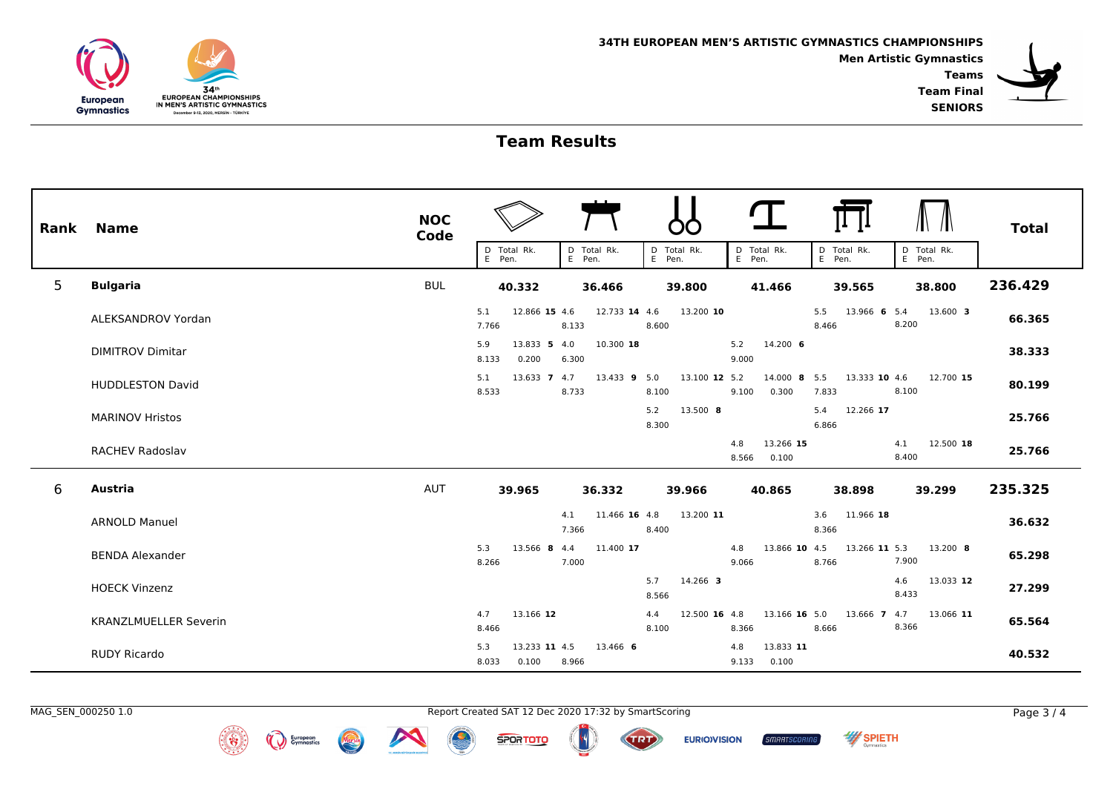



## **Team Results**

| Rank | <b>Name</b>                  | <b>NOC</b><br>Code |                       |                        |              |               |              |               |              |                       |              |               |              |             | <b>Total</b> |
|------|------------------------------|--------------------|-----------------------|------------------------|--------------|---------------|--------------|---------------|--------------|-----------------------|--------------|---------------|--------------|-------------|--------------|
|      |                              |                    | D Total Rk.<br>E Pen. |                        | E Pen.       | D Total Rk.   | E Pen.       | D Total Rk.   | E Pen.       | D Total Rk.           | E Pen.       | D Total Rk.   | E Pen.       | D Total Rk. |              |
| 5    | <b>Bulgaria</b>              | <b>BUL</b>         |                       | 40.332                 |              | 36.466        |              | 39.800        |              | 41.466                |              | 39.565        |              | 38.800      | 236.429      |
|      | ALEKSANDROV Yordan           |                    | 5.1<br>7.766          | 12.866 15 4.6          | 8.133        | 12.733 14 4.6 | 8.600        | 13.200 10     |              |                       | 5.5<br>8.466 | 13.966 6 5.4  | 8.200        | 13.600 3    | 66.365       |
|      | <b>DIMITROV Dimitar</b>      |                    | 5.9<br>8.133          | 13.833 5 4.0<br>0.200  | 6.300        | 10.300 18     |              |               | 5.2<br>9.000 | 14.200 6              |              |               |              |             | 38.333       |
|      | <b>HUDDLESTON David</b>      |                    | 5.1<br>8.533          | 13.633 7 4.7           | 8.733        | 13.433 9 5.0  | 8.100        | 13.100 12 5.2 | 9.100        | 14.000 8 5.5<br>0.300 | 7.833        | 13.333 10 4.6 | 8.100        | 12.700 15   | 80.199       |
|      | <b>MARINOV Hristos</b>       |                    |                       |                        |              |               | 5.2<br>8.300 | 13.500 8      |              |                       | 5.4<br>6.866 | 12.266 17     |              |             | 25.766       |
|      | <b>RACHEV Radoslav</b>       |                    |                       |                        |              |               |              |               | 4.8<br>8.566 | 13.266 15<br>0.100    |              |               | 4.1<br>8.400 | 12.500 18   | 25.766       |
| 6    | <b>Austria</b>               | AUT                |                       | 39.965                 |              | 36.332        |              | 39.966        |              | 40.865                |              | 38.898        |              | 39.299      | 235.325      |
|      | <b>ARNOLD Manuel</b>         |                    |                       |                        | 4.1<br>7.366 | 11.466 16 4.8 | 8.400        | 13.200 11     |              |                       | 3.6<br>8.366 | 11.966 18     |              |             | 36.632       |
|      | <b>BENDA Alexander</b>       |                    | 5.3<br>8.266          | 13.566 8               | 4.4<br>7.000 | 11.400 17     |              |               | 4.8<br>9.066 | 13.866 10 4.5         | 8.766        | 13.266 11 5.3 | 7.900        | 13.200 8    | 65.298       |
|      | <b>HOECK Vinzenz</b>         |                    |                       |                        |              |               | 5.7<br>8.566 | 14.266 3      |              |                       |              |               | 4.6<br>8.433 | 13.033 12   | 27.299       |
|      | <b>KRANZLMUELLER Severin</b> |                    | 4.7<br>8.466          | 13.166 12              |              |               | 4.4<br>8.100 | 12.500 16 4.8 | 8.366        | 13.166 16 5.0         | 8.666        | 13.666 7      | 4.7<br>8.366 | 13.066 11   | 65.564       |
|      | <b>RUDY Ricardo</b>          |                    | 5.3<br>8.033          | 13.233 11 4.5<br>0.100 | 8.966        | 13.466 6      |              |               | 4.8<br>9.133 | 13.833 11<br>0.100    |              |               |              |             | 40.532       |

Report Created SAT 12 Dec 2020 17:32 by SmartScoring Page 3 / 4

**W** SPIETH









**EURIOVISION** 

**SMARTSCORIA**